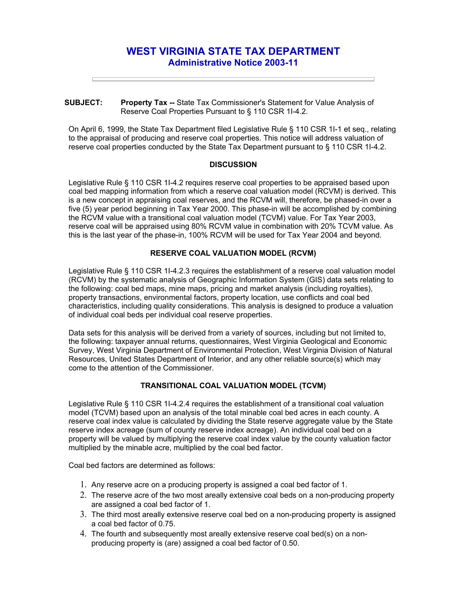# **WEST VIRGINIA STATE TAX DEPARTMENT Administrative Notice 2003-11**

#### **SUBJECT: Property Tax --** State Tax Commissioner's Statement for Value Analysis of Reserve Coal Properties Pursuant to § 110 CSR 1I-4.2.

On April 6, 1999, the State Tax Department filed Legislative Rule § 110 CSR 1I-1 et seq., relating to the appraisal of producing and reserve coal properties. This notice will address valuation of reserve coal properties conducted by the State Tax Department pursuant to § 110 CSR 1I-4.2.

### **DISCUSSION**

Legislative Rule § 110 CSR 1I-4.2 requires reserve coal properties to be appraised based upon coal bed mapping information from which a reserve coal valuation model (RCVM) is derived. This is a new concept in appraising coal reserves, and the RCVM will, therefore, be phased-in over a five (5) year period beginning in Tax Year 2000. This phase-in will be accomplished by combining the RCVM value with a transitional coal valuation model (TCVM) value. For Tax Year 2003, reserve coal will be appraised using 80% RCVM value in combination with 20% TCVM value. As this is the last year of the phase-in, 100% RCVM will be used for Tax Year 2004 and beyond.

## **RESERVE COAL VALUATION MODEL (RCVM)**

Legislative Rule § 110 CSR 1I-4.2.3 requires the establishment of a reserve coal valuation model (RCVM) by the systematic analysis of Geographic Information System (GIS) data sets relating to the following: coal bed maps, mine maps, pricing and market analysis (including royalties), property transactions, environmental factors, property location, use conflicts and coal bed characteristics, including quality considerations. This analysis is designed to produce a valuation of individual coal beds per individual coal reserve properties.

Data sets for this analysis will be derived from a variety of sources, including but not limited to, the following: taxpayer annual returns, questionnaires, West Virginia Geological and Economic Survey, West Virginia Department of Environmental Protection, West Virginia Division of Natural Resources, United States Department of Interior, and any other reliable source(s) which may come to the attention of the Commissioner.

## **TRANSITIONAL COAL VALUATION MODEL (TCVM)**

Legislative Rule § 110 CSR 1I-4.2.4 requires the establishment of a transitional coal valuation model (TCVM) based upon an analysis of the total minable coal bed acres in each county. A reserve coal index value is calculated by dividing the State reserve aggregate value by the State reserve index acreage (sum of county reserve index acreage). An individual coal bed on a property will be valued by multiplying the reserve coal index value by the county valuation factor multiplied by the minable acre, multiplied by the coal bed factor.

Coal bed factors are determined as follows:

- 1. Any reserve acre on a producing property is assigned a coal bed factor of 1.
- 2. The reserve acre of the two most areally extensive coal beds on a non-producing property are assigned a coal bed factor of 1.
- 3. The third most areally extensive reserve coal bed on a non-producing property is assigned a coal bed factor of 0.75.
- 4. The fourth and subsequently most areally extensive reserve coal bed(s) on a nonproducing property is (are) assigned a coal bed factor of 0.50.